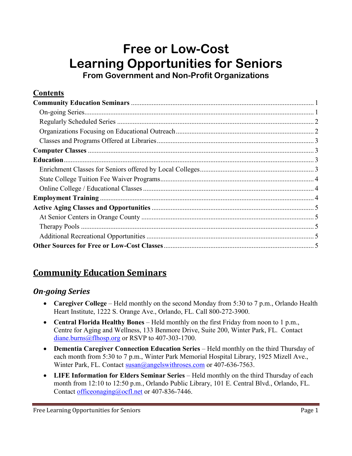# **Free or Low-Cost Learning Opportunities for Seniors From Government and Non-Profit Organizations**

### **Contents**

## **Community Education Seminars**

#### *On-going Series*

- **Caregiver College** Held monthly on the second Monday from 5:30 to 7 p.m., Orlando Health Heart Institute, 1222 S. Orange Ave., Orlando, FL. Call 800-272-3900.
- **Central Florida Healthy Bones** Held monthly on the first Friday from noon to 1 p.m., Centre for Aging and Wellness, 133 Benmore Drive, Suite 200, Winter Park, FL. Contact [diane.burns@flhosp.org](mailto:diane.burns@flhosp.org) or RSVP to 407-303-1700.
- **Dementia Caregiver Connection Education Series** Held monthly on the third Thursday of each month from 5:30 to 7 p.m., Winter Park Memorial Hospital Library, 1925 Mizell Ave., Winter Park, FL. Contact [susan@angelswithroses.com](mailto:susan@angelswithroses.com) or 407-636-7563.
- **LIFE Information for Elders Seminar Series** Held monthly on the third Thursday of each month from 12:10 to 12:50 p.m., Orlando Public Library, 101 E. Central Blvd., Orlando, FL. Contact [officeonaging@ocfl.net](mailto:officeonaging@ocfl.net) or 407-836-7446.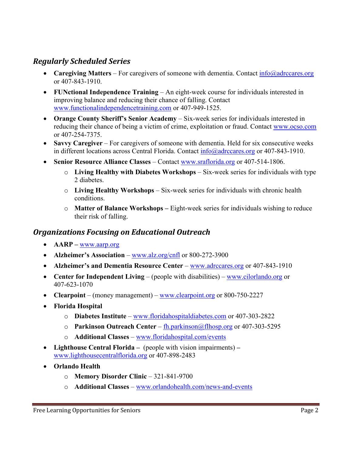### <span id="page-1-0"></span>*Regularly Scheduled Series*

- **Caregiving Matters** For caregivers of someone with dementia. Contact [info@adrccares.org](mailto:info@adrccares.org) or 407-843-1910.
- **FUNctional Independence Training** An eight-week course for individuals interested in improving balance and reducing their chance of falling. Contact [www.functionalindependencetraining.com](http://www.functionalindependencetraining.com/) or 407-949-1525.
- **Orange County Sheriff's Senior Academy** Six-week series for individuals interested in reducing their chance of being a victim of crime, exploitation or fraud. Contact [www.ocso.com](http://www.ocso.com/)  or 407-254-7375.
- **Savvy Caregiver** For caregivers of someone with dementia. Held for six consecutive weeks in different locations across Central Florida. Contact [info@adrccares.org](mailto:info@adrccares.org) or 407-843-1910.
- **Senior Resource Alliance Classes** Contact [www.sraflorida.org](http://www.sraflorida.org/) or 407-514-1806.
	- o **Living Healthy with Diabetes Workshops**  Six-week series for individuals with type 2 diabetes.
	- o **Living Healthy Workshops**  Six-week series for individuals with chronic health conditions.
	- o **Matter of Balance Workshops –** Eight-week series for individuals wishing to reduce their risk of falling.

### *Organizations Focusing on Educational Outreach*

- **AARP –** [www.aarp.org](http://www.aarp.org/)
- **Alzheimer's Association** [www.alz.org/cnfl](http://www.alz.org/cnfl) or 800-272-3900
- **Alzheimer's and Dementia Resource Center** [www.adrccares.org](http://www.adrccares.org/) or 407-843-1910
- **Center for Independent Living** (people with disabilities) [www.cilorlando.org](http://www.cilorlando.org/) or 407-623-1070
- **Clearpoint** (money management) [www.clearpoint.org](http://www.clearpoint.org/) or 800-750-2227
- **Florida Hospital** 
	- o **Diabetes Institute** [www.floridahospitaldiabetes.com](http://www.floridahospitaldiabetes.com/) or 407-303-2822
	- o **Parkinson Outreach Center**  [fh.parkinson@flhosp.org](mailto:fh.parkinson@flhosp.org) or 407-303-5295
	- o **Additional Classes**  [www.floridahospital.com/events](http://www.floridahospital.com/events)
- **Lighthouse Central Florida** (people with vision impairments)  [www.lighthousecentralflorida.org](http://www.lighthousecentralflorida.org/) or 407-898-2483
- **Orlando Health**
	- o **Memory Disorder Clinic**  321-841-9700
	- o **Additional Classes**  [www.orlandohealth.com/news-and-events](http://www.orlandohealth.com/news-and-events)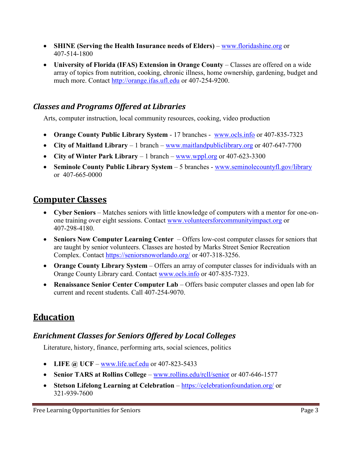- <span id="page-2-0"></span> **SHINE (Serving the Health Insurance needs of Elders)** – www.floridashine.org or 407-514-1800
- University of Florida (IFAS) Extension in Orange County Classes are offered on a wide array of topics from nutrition, cooking, chronic illness, home ownership, gardening, budget and much more. Contact http://orange.ifas.ufl.edu or 407-254-9200.

## *Classes and Programs Offered at Libraries*

Arts, computer instruction, local community resources, cooking, video production

- **Orange County Public Library System**  17 branches [www.ocls.info](http://www.ocls.info/) or 407-835-7323
- City of Maitland Library 1 branch [www.maitlandpubliclibrary.org](http://www.maitlandpubliclibrary.org/) or 407-647-7700
- **City of Winter Park Library**  1 branch [www.wppl.org](http://www.wppl.org/) or 407-623-3300
- Seminole County Public Library System 5 branches www.seminolecountyfl.gov/library or 407-665-0000

## **Computer Classes**

- **Cyber Seniors** Matches seniors with little knowledge of computers with a mentor for one-onone training over eight sessions. Contact [www.volunteersforcommunityimpact.org](http://www.volunteersforcommunityimpact.org/) or 407-298-4180.
- **Seniors Now Computer Learning Center** Offers low-cost computer classes for seniors that are taught by senior volunteers. Classes are hosted by Marks Street Senior Recreation Complex. Contact<https://seniorsnoworlando.org/> or 407-318-3256.
- **Orange County Library System** Offers an array of computer classes for individuals with an Orange County Library card. Contac[t www.ocls.info](http://www.ocls.info/) or 407-835-7323.
- **Renaissance Senior Center Computer Lab**  Offers basic computer classes and open lab for current and recent students. Call 407-254-9070.

## **Education**

## *Enrichment Classes for Seniors Offered by Local Colleges*

Literature, history, finance, performing arts, social sciences, politics

- **•** LIFE  $\omega$  UCF [www.life.ucf.edu](http://www.life.ucf.edu/) or 407-823-5433
- **Senior TARS at Rollins College** [www.rollins.edu/rcll/senior](http://www.rollins.edu/rcll/senior) or 407-646-1577
- **Stetson Lifelong Learning at Celebration** <https://celebrationfoundation.org/> or 321-939-7600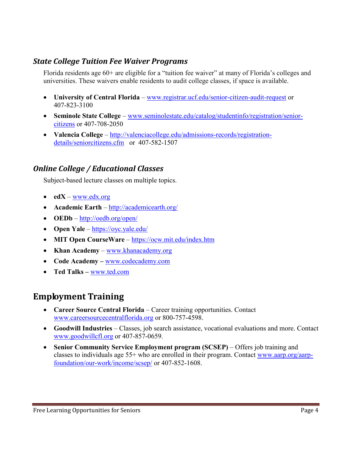#### <span id="page-3-0"></span>*State College Tuition Fee Waiver Programs*

Florida residents age 60+ are eligible for a "tuition fee waiver" at many of Florida's colleges and universities. These waivers enable residents to audit college classes, if space is available.

- **University of Central Florida** [www.registrar.ucf.edu/senior-citizen-audit-request](http://www.registrar.ucf.edu/senior-citizen-audit-request) or 407-823-3100
- **Seminole State College** [www.seminolestate.edu/catalog/studentinfo/registration/senior](http://www.seminolestate.edu/catalog/studentinfo/registration/senior-citizens)[citizens](http://www.seminolestate.edu/catalog/studentinfo/registration/senior-citizens) or 407-708-2050
- **Valencia College** [http://valenciacollege.edu/admissions-records/registration](http://valenciacollege.edu/admissions-records/registration-details/seniorcitizens.cfm)[details/seniorcitizens.cfm](http://valenciacollege.edu/admissions-records/registration-details/seniorcitizens.cfm) or 407-582-1507

### *Online College / Educational Classes*

Subject-based lecture classes on multiple topics.

- **edX**  [www.edx.org](http://www.edx.org/)
- **Academic Earth** <http://academicearth.org/>
- **OEDb** <http://oedb.org/open/>
- **Open Yale** <https://oyc.yale.edu/>
- **MIT Open CourseWare** <https://ocw.mit.edu/index.htm>
- **Khan Academy** [www.khanacademy.org](http://www.khanacademy.org/)
- **Code Academy –** [www.codecademy.com](http://www.codecademy.com/)
- **Ted Talks –** [www.ted.com](http://www.ted.com/)

## **Employment Training**

- **Career Source Central Florida**  Career training opportunities. Contact [www.careersourcecentralflorida.org](http://www.careersourcecentralflorida.org/) or 800-757-4598.
- **Goodwill Industries** Classes, job search assistance, vocational evaluations and more. Contact [www.goodwillcfl.org](http://www.goodwillcfl.org/) or 407-857-0659.
- **Senior Community Service Employment program (SCSEP)** Offers job training and classes to individuals age 55+ who are enrolled in their program. Contact [www.aarp.org/aarp](http://www.aarp.org/aarp-foundation/our-work/income/scsep/)[foundation/our-work/income/scsep/](http://www.aarp.org/aarp-foundation/our-work/income/scsep/) or 407-852-1608.